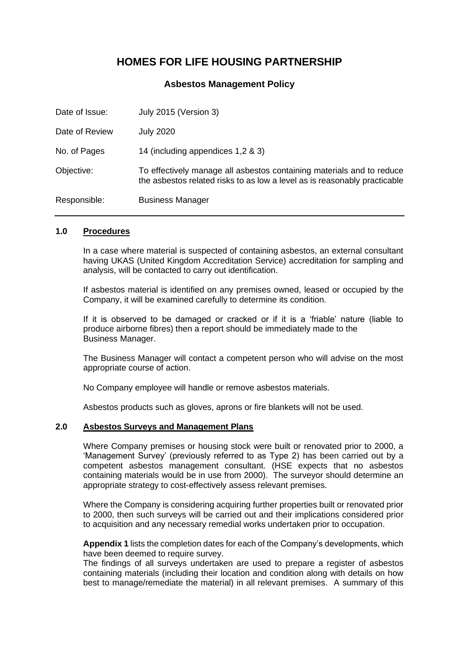# **HOMES FOR LIFE HOUSING PARTNERSHIP**

**Asbestos Management Policy**

| Date of Issue: | July 2015 (Version 3)                                                                                                                              |
|----------------|----------------------------------------------------------------------------------------------------------------------------------------------------|
| Date of Review | <b>July 2020</b>                                                                                                                                   |
| No. of Pages   | 14 (including appendices 1,2 & 3)                                                                                                                  |
| Objective:     | To effectively manage all asbestos containing materials and to reduce<br>the asbestos related risks to as low a level as is reasonably practicable |
| Responsible:   | <b>Business Manager</b>                                                                                                                            |

#### **1.0 Procedures**

In a case where material is suspected of containing asbestos, an external consultant having UKAS (United Kingdom Accreditation Service) accreditation for sampling and analysis, will be contacted to carry out identification.

If asbestos material is identified on any premises owned, leased or occupied by the Company, it will be examined carefully to determine its condition.

If it is observed to be damaged or cracked or if it is a 'friable' nature (liable to produce airborne fibres) then a report should be immediately made to the Business Manager.

The Business Manager will contact a competent person who will advise on the most appropriate course of action.

No Company employee will handle or remove asbestos materials.

Asbestos products such as gloves, aprons or fire blankets will not be used.

## **2.0 Asbestos Surveys and Management Plans**

Where Company premises or housing stock were built or renovated prior to 2000, a 'Management Survey' (previously referred to as Type 2) has been carried out by a competent asbestos management consultant. (HSE expects that no asbestos containing materials would be in use from 2000). The surveyor should determine an appropriate strategy to cost-effectively assess relevant premises.

Where the Company is considering acquiring further properties built or renovated prior to 2000, then such surveys will be carried out and their implications considered prior to acquisition and any necessary remedial works undertaken prior to occupation.

**Appendix 1** lists the completion dates for each of the Company's developments, which have been deemed to require survey.

The findings of all surveys undertaken are used to prepare a register of asbestos containing materials (including their location and condition along with details on how best to manage/remediate the material) in all relevant premises. A summary of this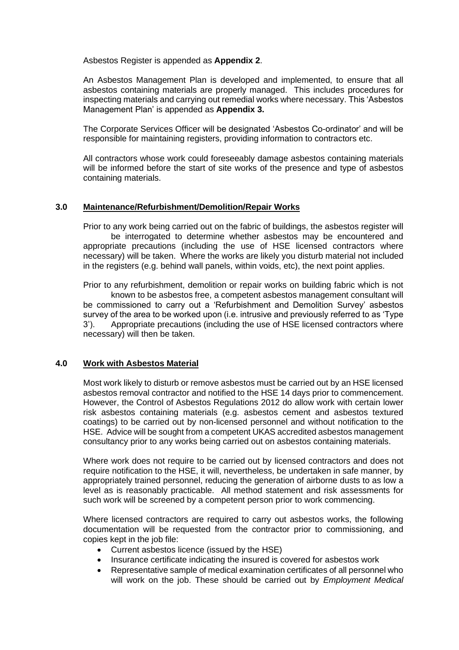Asbestos Register is appended as **Appendix 2**.

An Asbestos Management Plan is developed and implemented, to ensure that all asbestos containing materials are properly managed. This includes procedures for inspecting materials and carrying out remedial works where necessary. This 'Asbestos Management Plan' is appended as **Appendix 3.**

The Corporate Services Officer will be designated 'Asbestos Co-ordinator' and will be responsible for maintaining registers, providing information to contractors etc.

All contractors whose work could foreseeably damage asbestos containing materials will be informed before the start of site works of the presence and type of asbestos containing materials.

## **3.0 Maintenance/Refurbishment/Demolition/Repair Works**

Prior to any work being carried out on the fabric of buildings, the asbestos register will be interrogated to determine whether asbestos may be encountered and appropriate precautions (including the use of HSE licensed contractors where necessary) will be taken. Where the works are likely you disturb material not included in the registers (e.g. behind wall panels, within voids, etc), the next point applies.

Prior to any refurbishment, demolition or repair works on building fabric which is not known to be asbestos free, a competent asbestos management consultant will be commissioned to carry out a 'Refurbishment and Demolition Survey' asbestos survey of the area to be worked upon (i.e. intrusive and previously referred to as 'Type 3'). Appropriate precautions (including the use of HSE licensed contractors where necessary) will then be taken.

## **4.0 Work with Asbestos Material**

Most work likely to disturb or remove asbestos must be carried out by an HSE licensed asbestos removal contractor and notified to the HSE 14 days prior to commencement. However, the Control of Asbestos Regulations 2012 do allow work with certain lower risk asbestos containing materials (e.g. asbestos cement and asbestos textured coatings) to be carried out by non-licensed personnel and without notification to the HSE. Advice will be sought from a competent UKAS accredited asbestos management consultancy prior to any works being carried out on asbestos containing materials.

Where work does not require to be carried out by licensed contractors and does not require notification to the HSE, it will, nevertheless, be undertaken in safe manner, by appropriately trained personnel, reducing the generation of airborne dusts to as low a level as is reasonably practicable. All method statement and risk assessments for such work will be screened by a competent person prior to work commencing.

Where licensed contractors are required to carry out asbestos works, the following documentation will be requested from the contractor prior to commissioning, and copies kept in the job file:

- Current asbestos licence (issued by the HSE)
- Insurance certificate indicating the insured is covered for asbestos work
- Representative sample of medical examination certificates of all personnel who will work on the job. These should be carried out by *Employment Medical*